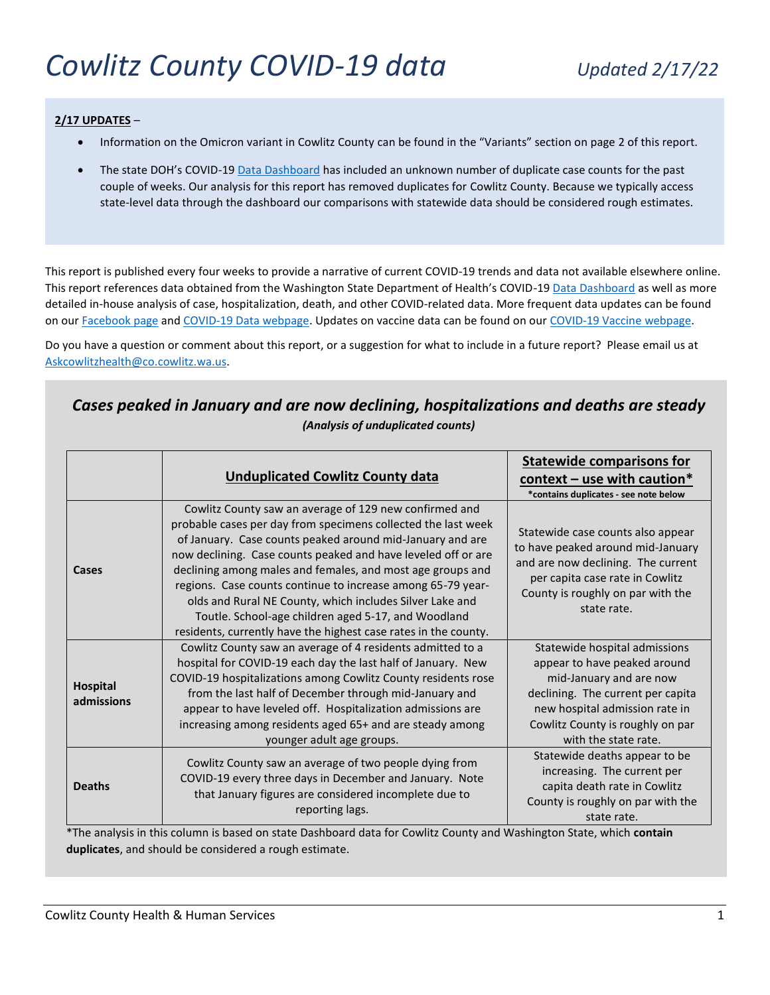# *Cowlitz County COVID-19 data Updated 2/17/22*

#### **2/17 UPDATES** –

- Information on the Omicron variant in Cowlitz County can be found in the "Variants" section on page 2 of this report.
- The state DOH's COVID-19 [Data Dashboard](https://www.doh.wa.gov/Emergencies/COVID19/DataDashboard) has included an unknown number of duplicate case counts for the past couple of weeks. Our analysis for this report has removed duplicates for Cowlitz County. Because we typically access state-level data through the dashboard our comparisons with statewide data should be considered rough estimates.

This report is published every four weeks to provide a narrative of current COVID-19 trends and data not available elsewhere online. This report references data obtained from the Washington State Department of Health's COVID-1[9 Data Dashboard](https://www.doh.wa.gov/Emergencies/COVID19/DataDashboard) as well as more detailed in-house analysis of case, hospitalization, death, and other COVID-related data. More frequent data updates can be found on our [Facebook page](https://www.facebook.com/cowlitzHHS) and [COVID-19 Data webpage.](https://www.co.cowlitz.wa.us/2811/COVID-19-Data) Updates on vaccine data can be found on our [COVID-19 Vaccine webpage.](https://www.co.cowlitz.wa.us/2806/COVID-19-Vaccine)

Do you have a question or comment about this report, or a suggestion for what to include in a future report? Please email us at [Askcowlitzhealth@co.cowlitz.wa.us.](mailto:Askcowlitzhealth@co.cowlitz.wa.us)

## *Cases peaked in January and are now declining, hospitalizations and deaths are steady (Analysis of unduplicated counts)*

|                               | <b>Unduplicated Cowlitz County data</b>                                                                                                                                                                                                                                                                                                                                                                                                                                                                                                                                  | <b>Statewide comparisons for</b><br>$context -$ use with caution*<br>*contains duplicates - see note below                                                                                                                  |
|-------------------------------|--------------------------------------------------------------------------------------------------------------------------------------------------------------------------------------------------------------------------------------------------------------------------------------------------------------------------------------------------------------------------------------------------------------------------------------------------------------------------------------------------------------------------------------------------------------------------|-----------------------------------------------------------------------------------------------------------------------------------------------------------------------------------------------------------------------------|
| Cases                         | Cowlitz County saw an average of 129 new confirmed and<br>probable cases per day from specimens collected the last week<br>of January. Case counts peaked around mid-January and are<br>now declining. Case counts peaked and have leveled off or are<br>declining among males and females, and most age groups and<br>regions. Case counts continue to increase among 65-79 year-<br>olds and Rural NE County, which includes Silver Lake and<br>Toutle. School-age children aged 5-17, and Woodland<br>residents, currently have the highest case rates in the county. | Statewide case counts also appear<br>to have peaked around mid-January<br>and are now declining. The current<br>per capita case rate in Cowlitz<br>County is roughly on par with the<br>state rate.                         |
| <b>Hospital</b><br>admissions | Cowlitz County saw an average of 4 residents admitted to a<br>hospital for COVID-19 each day the last half of January. New<br>COVID-19 hospitalizations among Cowlitz County residents rose<br>from the last half of December through mid-January and<br>appear to have leveled off. Hospitalization admissions are<br>increasing among residents aged 65+ and are steady among<br>younger adult age groups.                                                                                                                                                             | Statewide hospital admissions<br>appear to have peaked around<br>mid-January and are now<br>declining. The current per capita<br>new hospital admission rate in<br>Cowlitz County is roughly on par<br>with the state rate. |
| <b>Deaths</b>                 | Cowlitz County saw an average of two people dying from<br>COVID-19 every three days in December and January. Note<br>that January figures are considered incomplete due to<br>reporting lags.                                                                                                                                                                                                                                                                                                                                                                            | Statewide deaths appear to be<br>increasing. The current per<br>capita death rate in Cowlitz<br>County is roughly on par with the<br>state rate.                                                                            |

\*The analysis in this column is based on state Dashboard data for Cowlitz County and Washington State, which **contain duplicates**, and should be considered a rough estimate.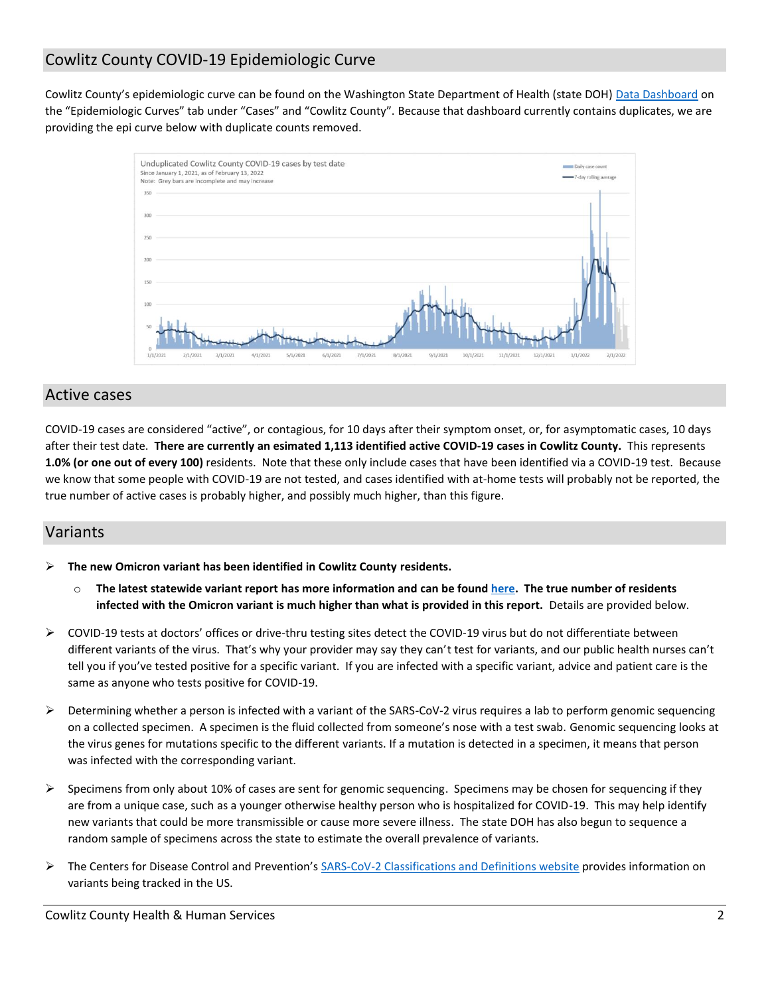# Cowlitz County COVID-19 Epidemiologic Curve

Cowlitz County's epidemiologic curve can be found on the Washington State Department of Health (state DOH) [Data Dashboard](https://www.doh.wa.gov/Emergencies/COVID19/DataDashboard) on the "Epidemiologic Curves" tab under "Cases" and "Cowlitz County". Because that dashboard currently contains duplicates, we are providing the epi curve below with duplicate counts removed.



### Active cases

COVID-19 cases are considered "active", or contagious, for 10 days after their symptom onset, or, for asymptomatic cases, 10 days after their test date. **There are currently an esimated 1,113 identified active COVID-19 cases in Cowlitz County.** This represents **1.0% (or one out of every 100)** residents. Note that these only include cases that have been identified via a COVID-19 test. Because we know that some people with COVID-19 are not tested, and cases identified with at-home tests will probably not be reported, the true number of active cases is probably higher, and possibly much higher, than this figure.

## Variants

**The new Omicron variant has been identified in Cowlitz County residents.**

- o **The latest statewide variant report has more information and can be foun[d here.](https://www.doh.wa.gov/Portals/1/Documents/1600/coronavirus/data-tables/420-316-SequencingAndVariantsReport.pdf) The true number of residents infected with the Omicron variant is much higher than what is provided in this report.** Details are provided below.
- $\triangleright$  COVID-19 tests at doctors' offices or drive-thru testing sites detect the COVID-19 virus but do not differentiate between different variants of the virus. That's why your provider may say they can't test for variants, and our public health nurses can't tell you if you've tested positive for a specific variant. If you are infected with a specific variant, advice and patient care is the same as anyone who tests positive for COVID-19.
- ▶ Determining whether a person is infected with a variant of the SARS-CoV-2 virus requires a lab to perform genomic sequencing on a collected specimen. A specimen is the fluid collected from someone's nose with a test swab. Genomic sequencing looks at the virus genes for mutations specific to the different variants. If a mutation is detected in a specimen, it means that person was infected with the corresponding variant.
- $\triangleright$  Specimens from only about 10% of cases are sent for genomic sequencing. Specimens may be chosen for sequencing if they are from a unique case, such as a younger otherwise healthy person who is hospitalized for COVID-19. This may help identify new variants that could be more transmissible or cause more severe illness. The state DOH has also begun to sequence a random sample of specimens across the state to estimate the overall prevalence of variants.
- ▶ The Centers for Disease Control and Prevention's [SARS-CoV-2 Classifications and Definitions website](https://www.cdc.gov/coronavirus/2019-ncov/variants/variant-info.html?CDC_AA_refVal=https%3A%2F%2Fwww.cdc.gov%2Fcoronavirus%2F2019-ncov%2Fcases-updates%2Fvariant-surveillance%2Fvariant-info.html) provides information on variants being tracked in the US.